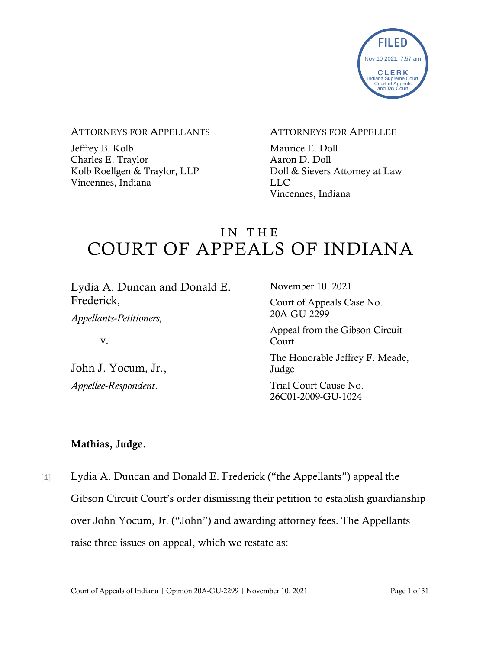

#### ATTORNEYS FOR APPELLANTS

Jeffrey B. Kolb Charles E. Traylor Kolb Roellgen & Traylor, LLP Vincennes, Indiana

#### ATTORNEYS FOR APPELLEE

Maurice E. Doll Aaron D. Doll Doll & Sievers Attorney at Law LLC Vincennes, Indiana

# IN THE COURT OF APPEALS OF INDIANA

| Lydia A. Duncan and Donald E.  | November 10, 2021                           |
|--------------------------------|---------------------------------------------|
| Frederick,                     | Court of Appeals Case No.                   |
| <i>Appellants-Petitioners,</i> | 20A-GU-2299                                 |
| V.                             | Appeal from the Gibson Circuit<br>Court     |
| John J. Yocum, Jr.,            | The Honorable Jeffrey F. Meade,<br>Judge    |
| Appellee-Respondent.           | Trial Court Cause No.<br>26C01-2009-GU-1024 |

### Mathias, Judge.

[1] Lydia A. Duncan and Donald E. Frederick ("the Appellants") appeal the Gibson Circuit Court's order dismissing their petition to establish guardianship over John Yocum, Jr. ("John") and awarding attorney fees. The Appellants raise three issues on appeal, which we restate as: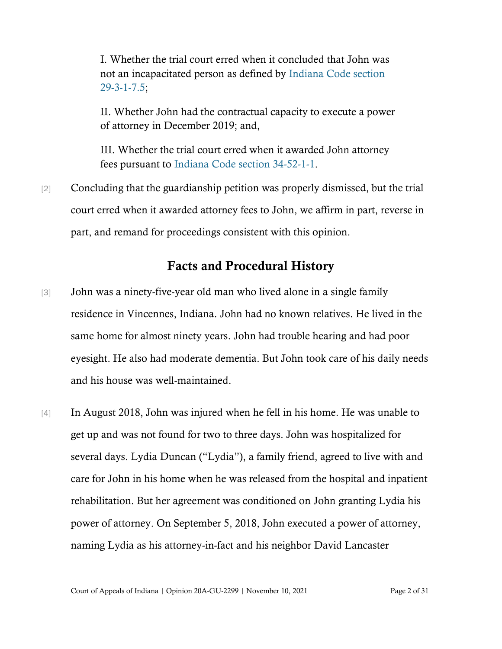I. Whether the trial court erred when it concluded that John was not an incapacitated person as defined by [Indiana Code section](https://www.westlaw.com/Document/NEFFE8FD0816111DB8132CD13D2280436/View/FullText.html?transitionType=Default&contextData=(sc.Default)&VR=3.0&RS=da3.0)  [29-3-1-7.5;](https://www.westlaw.com/Document/NEFFE8FD0816111DB8132CD13D2280436/View/FullText.html?transitionType=Default&contextData=(sc.Default)&VR=3.0&RS=da3.0)

II. Whether John had the contractual capacity to execute a power of attorney in December 2019; and,

III. Whether the trial court erred when it awarded John attorney fees pursuant to [Indiana Code section 34-52-1-1.](https://www.westlaw.com/Document/N73780500816F11DB8132CD13D2280436/View/FullText.html?transitionType=Default&contextData=(sc.Default)&VR=3.0&RS=da3.0)

[2] Concluding that the guardianship petition was properly dismissed, but the trial court erred when it awarded attorney fees to John, we affirm in part, reverse in part, and remand for proceedings consistent with this opinion.

### Facts and Procedural History

- [3] John was a ninety-five-year old man who lived alone in a single family residence in Vincennes, Indiana. John had no known relatives. He lived in the same home for almost ninety years. John had trouble hearing and had poor eyesight. He also had moderate dementia. But John took care of his daily needs and his house was well-maintained.
- [4] In August 2018, John was injured when he fell in his home. He was unable to get up and was not found for two to three days. John was hospitalized for several days. Lydia Duncan ("Lydia"), a family friend, agreed to live with and care for John in his home when he was released from the hospital and inpatient rehabilitation. But her agreement was conditioned on John granting Lydia his power of attorney. On September 5, 2018, John executed a power of attorney, naming Lydia as his attorney-in-fact and his neighbor David Lancaster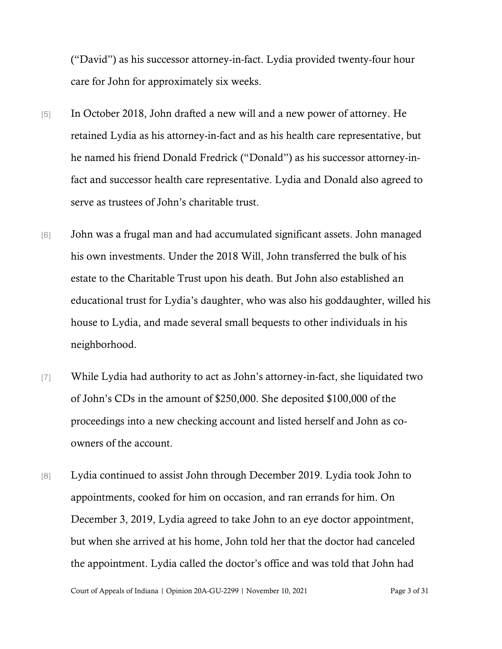("David") as his successor attorney-in-fact. Lydia provided twenty-four hour care for John for approximately six weeks.

- [5] In October 2018, John drafted a new will and a new power of attorney. He retained Lydia as his attorney-in-fact and as his health care representative, but he named his friend Donald Fredrick ("Donald") as his successor attorney-infact and successor health care representative. Lydia and Donald also agreed to serve as trustees of John's charitable trust.
- [6] John was a frugal man and had accumulated significant assets. John managed his own investments. Under the 2018 Will, John transferred the bulk of his estate to the Charitable Trust upon his death. But John also established an educational trust for Lydia's daughter, who was also his goddaughter, willed his house to Lydia, and made several small bequests to other individuals in his neighborhood.
- [7] While Lydia had authority to act as John's attorney-in-fact, she liquidated two of John's CDs in the amount of \$250,000. She deposited \$100,000 of the proceedings into a new checking account and listed herself and John as coowners of the account.
- [8] Lydia continued to assist John through December 2019. Lydia took John to appointments, cooked for him on occasion, and ran errands for him. On December 3, 2019, Lydia agreed to take John to an eye doctor appointment, but when she arrived at his home, John told her that the doctor had canceled the appointment. Lydia called the doctor's office and was told that John had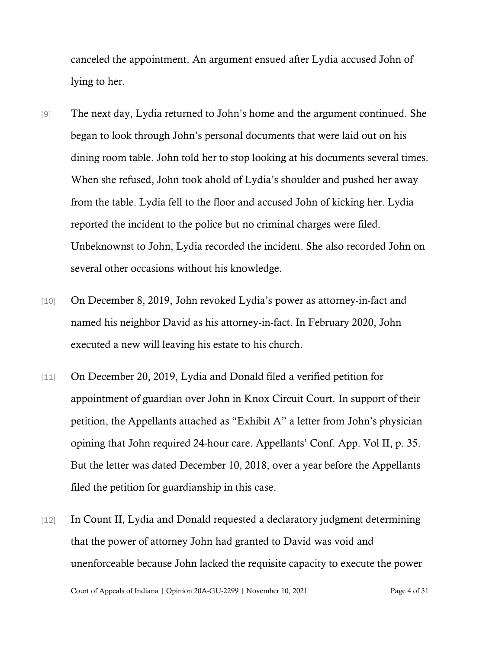canceled the appointment. An argument ensued after Lydia accused John of lying to her.

- [9] The next day, Lydia returned to John's home and the argument continued. She began to look through John's personal documents that were laid out on his dining room table. John told her to stop looking at his documents several times. When she refused, John took ahold of Lydia's shoulder and pushed her away from the table. Lydia fell to the floor and accused John of kicking her. Lydia reported the incident to the police but no criminal charges were filed. Unbeknownst to John, Lydia recorded the incident. She also recorded John on several other occasions without his knowledge.
- [10] On December 8, 2019, John revoked Lydia's power as attorney-in-fact and named his neighbor David as his attorney-in-fact. In February 2020, John executed a new will leaving his estate to his church.
- [11] On December 20, 2019, Lydia and Donald filed a verified petition for appointment of guardian over John in Knox Circuit Court. In support of their petition, the Appellants attached as "Exhibit A" a letter from John's physician opining that John required 24-hour care. Appellants' Conf. App. Vol II, p. 35. But the letter was dated December 10, 2018, over a year before the Appellants filed the petition for guardianship in this case.
- [12] In Count II, Lydia and Donald requested a declaratory judgment determining that the power of attorney John had granted to David was void and unenforceable because John lacked the requisite capacity to execute the power

Court of Appeals of Indiana | Opinion 20A-GU-2299 | November 10, 2021 Page 4 of 31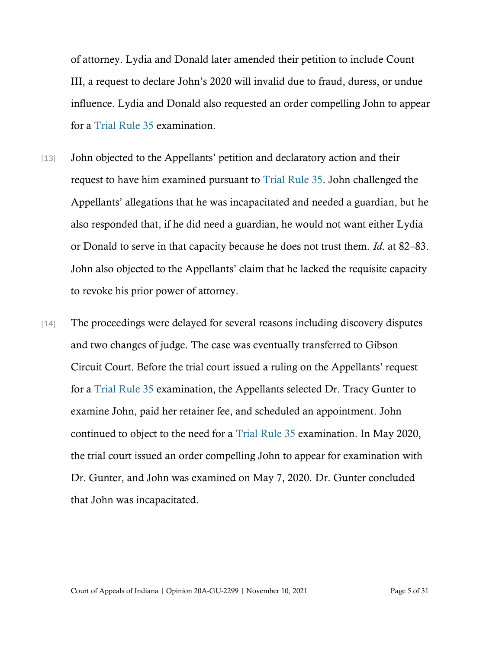of attorney. Lydia and Donald later amended their petition to include Count III, a request to declare John's 2020 will invalid due to fraud, duress, or undue influence. Lydia and Donald also requested an order compelling John to appear for a [Trial Rule 35](https://www.westlaw.com/Document/N00B58D20817011DB8132CD13D2280436/View/FullText.html?transitionType=Default&contextData=(sc.Default)&VR=3.0&RS=cblt1.0) examination.

- [13] John objected to the Appellants' petition and declaratory action and their request to have him examined pursuant to [Trial Rule 35.](https://www.westlaw.com/Document/N00B58D20817011DB8132CD13D2280436/View/FullText.html?transitionType=Default&contextData=(sc.Default)&VR=3.0&RS=cblt1.0) John challenged the Appellants' allegations that he was incapacitated and needed a guardian, but he also responded that, if he did need a guardian, he would not want either Lydia or Donald to serve in that capacity because he does not trust them. *Id*. at 82–83. John also objected to the Appellants' claim that he lacked the requisite capacity to revoke his prior power of attorney.
- [14] The proceedings were delayed for several reasons including discovery disputes and two changes of judge. The case was eventually transferred to Gibson Circuit Court. Before the trial court issued a ruling on the Appellants' request for a [Trial Rule 35](https://www.westlaw.com/Document/N00B58D20817011DB8132CD13D2280436/View/FullText.html?transitionType=Default&contextData=(sc.Default)&VR=3.0&RS=cblt1.0) examination, the Appellants selected Dr. Tracy Gunter to examine John, paid her retainer fee, and scheduled an appointment. John continued to object to the need for a [Trial Rule 35](https://www.westlaw.com/Document/N00B58D20817011DB8132CD13D2280436/View/FullText.html?transitionType=Default&contextData=(sc.Default)&VR=3.0&RS=cblt1.0) examination. In May 2020, the trial court issued an order compelling John to appear for examination with Dr. Gunter, and John was examined on May 7, 2020. Dr. Gunter concluded that John was incapacitated.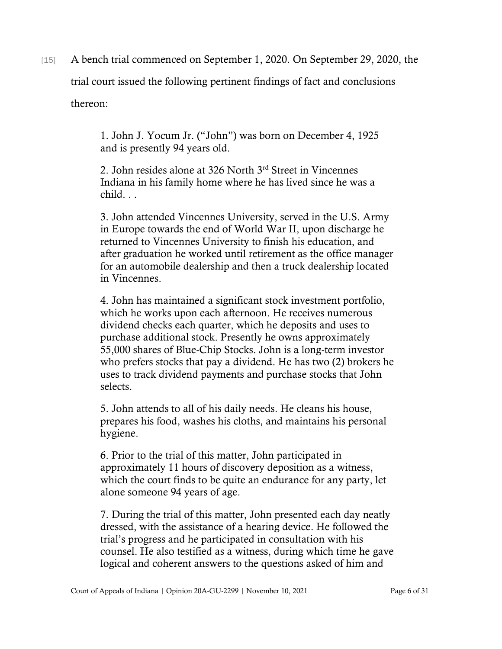[15] A bench trial commenced on September 1, 2020. On September 29, 2020, the

trial court issued the following pertinent findings of fact and conclusions

thereon:

1. John J. Yocum Jr. ("John") was born on December 4, 1925 and is presently 94 years old.

2. John resides alone at 326 North 3rd Street in Vincennes Indiana in his family home where he has lived since he was a child. . .

3. John attended Vincennes University, served in the U.S. Army in Europe towards the end of World War II, upon discharge he returned to Vincennes University to finish his education, and after graduation he worked until retirement as the office manager for an automobile dealership and then a truck dealership located in Vincennes.

4. John has maintained a significant stock investment portfolio, which he works upon each afternoon. He receives numerous dividend checks each quarter, which he deposits and uses to purchase additional stock. Presently he owns approximately 55,000 shares of Blue-Chip Stocks. John is a long-term investor who prefers stocks that pay a dividend. He has two (2) brokers he uses to track dividend payments and purchase stocks that John selects.

5. John attends to all of his daily needs. He cleans his house, prepares his food, washes his cloths, and maintains his personal hygiene.

6. Prior to the trial of this matter, John participated in approximately 11 hours of discovery deposition as a witness, which the court finds to be quite an endurance for any party, let alone someone 94 years of age.

7. During the trial of this matter, John presented each day neatly dressed, with the assistance of a hearing device. He followed the trial's progress and he participated in consultation with his counsel. He also testified as a witness, during which time he gave logical and coherent answers to the questions asked of him and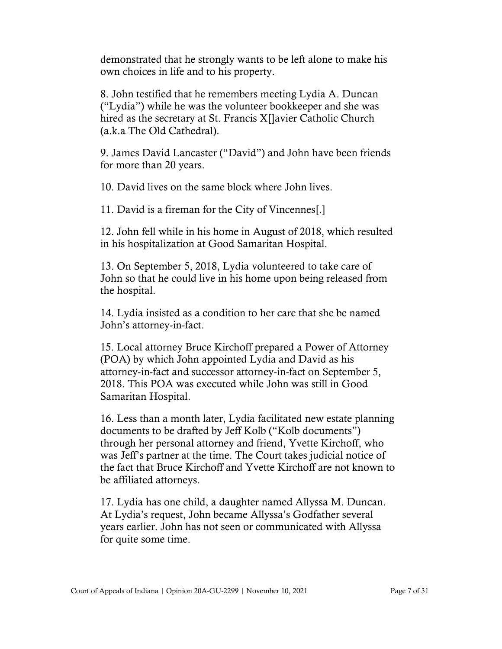demonstrated that he strongly wants to be left alone to make his own choices in life and to his property.

8. John testified that he remembers meeting Lydia A. Duncan ("Lydia") while he was the volunteer bookkeeper and she was hired as the secretary at St. Francis X[]avier Catholic Church (a.k.a The Old Cathedral).

9. James David Lancaster ("David") and John have been friends for more than 20 years.

10. David lives on the same block where John lives.

11. David is a fireman for the City of Vincennes[.]

12. John fell while in his home in August of 2018, which resulted in his hospitalization at Good Samaritan Hospital.

13. On September 5, 2018, Lydia volunteered to take care of John so that he could live in his home upon being released from the hospital.

14. Lydia insisted as a condition to her care that she be named John's attorney-in-fact.

15. Local attorney Bruce Kirchoff prepared a Power of Attorney (POA) by which John appointed Lydia and David as his attorney-in-fact and successor attorney-in-fact on September 5, 2018. This POA was executed while John was still in Good Samaritan Hospital.

16. Less than a month later, Lydia facilitated new estate planning documents to be drafted by Jeff Kolb ("Kolb documents") through her personal attorney and friend, Yvette Kirchoff, who was Jeff's partner at the time. The Court takes judicial notice of the fact that Bruce Kirchoff and Yvette Kirchoff are not known to be affiliated attorneys.

17. Lydia has one child, a daughter named Allyssa M. Duncan. At Lydia's request, John became Allyssa's Godfather several years earlier. John has not seen or communicated with Allyssa for quite some time.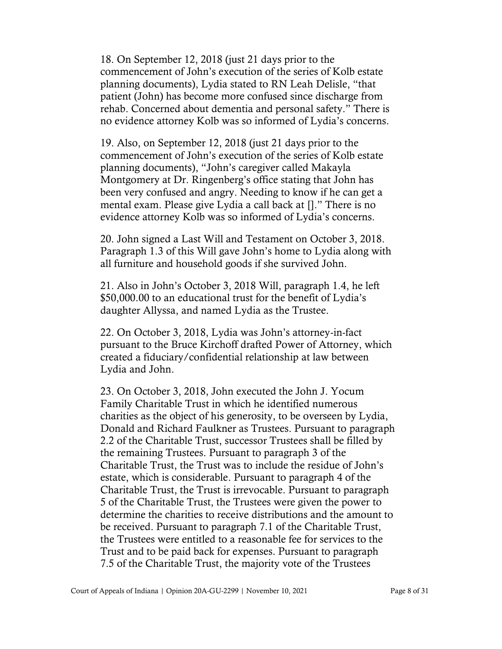18. On September 12, 2018 (just 21 days prior to the commencement of John's execution of the series of Kolb estate planning documents), Lydia stated to RN Leah Delisle, "that patient (John) has become more confused since discharge from rehab. Concerned about dementia and personal safety." There is no evidence attorney Kolb was so informed of Lydia's concerns.

19. Also, on September 12, 2018 (just 21 days prior to the commencement of John's execution of the series of Kolb estate planning documents), "John's caregiver called Makayla Montgomery at Dr. Ringenberg's office stating that John has been very confused and angry. Needing to know if he can get a mental exam. Please give Lydia a call back at []." There is no evidence attorney Kolb was so informed of Lydia's concerns.

20. John signed a Last Will and Testament on October 3, 2018. Paragraph 1.3 of this Will gave John's home to Lydia along with all furniture and household goods if she survived John.

21. Also in John's October 3, 2018 Will, paragraph 1.4, he left \$50,000.00 to an educational trust for the benefit of Lydia's daughter Allyssa, and named Lydia as the Trustee.

22. On October 3, 2018, Lydia was John's attorney-in-fact pursuant to the Bruce Kirchoff drafted Power of Attorney, which created a fiduciary/confidential relationship at law between Lydia and John.

23. On October 3, 2018, John executed the John J. Yocum Family Charitable Trust in which he identified numerous charities as the object of his generosity, to be overseen by Lydia, Donald and Richard Faulkner as Trustees. Pursuant to paragraph 2.2 of the Charitable Trust, successor Trustees shall be filled by the remaining Trustees. Pursuant to paragraph 3 of the Charitable Trust, the Trust was to include the residue of John's estate, which is considerable. Pursuant to paragraph 4 of the Charitable Trust, the Trust is irrevocable. Pursuant to paragraph 5 of the Charitable Trust, the Trustees were given the power to determine the charities to receive distributions and the amount to be received. Pursuant to paragraph 7.1 of the Charitable Trust, the Trustees were entitled to a reasonable fee for services to the Trust and to be paid back for expenses. Pursuant to paragraph 7.5 of the Charitable Trust, the majority vote of the Trustees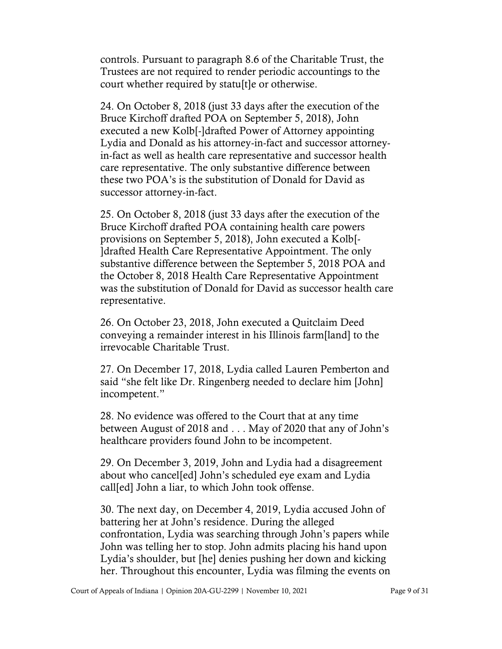controls. Pursuant to paragraph 8.6 of the Charitable Trust, the Trustees are not required to render periodic accountings to the court whether required by statu[t]e or otherwise.

24. On October 8, 2018 (just 33 days after the execution of the Bruce Kirchoff drafted POA on September 5, 2018), John executed a new Kolb[-]drafted Power of Attorney appointing Lydia and Donald as his attorney-in-fact and successor attorneyin-fact as well as health care representative and successor health care representative. The only substantive difference between these two POA's is the substitution of Donald for David as successor attorney-in-fact.

25. On October 8, 2018 (just 33 days after the execution of the Bruce Kirchoff drafted POA containing health care powers provisions on September 5, 2018), John executed a Kolb[- ]drafted Health Care Representative Appointment. The only substantive difference between the September 5, 2018 POA and the October 8, 2018 Health Care Representative Appointment was the substitution of Donald for David as successor health care representative.

26. On October 23, 2018, John executed a Quitclaim Deed conveying a remainder interest in his Illinois farm[land] to the irrevocable Charitable Trust.

27. On December 17, 2018, Lydia called Lauren Pemberton and said "she felt like Dr. Ringenberg needed to declare him [John] incompetent."

28. No evidence was offered to the Court that at any time between August of 2018 and . . . May of 2020 that any of John's healthcare providers found John to be incompetent.

29. On December 3, 2019, John and Lydia had a disagreement about who cancel[ed] John's scheduled eye exam and Lydia call[ed] John a liar, to which John took offense.

30. The next day, on December 4, 2019, Lydia accused John of battering her at John's residence. During the alleged confrontation, Lydia was searching through John's papers while John was telling her to stop. John admits placing his hand upon Lydia's shoulder, but [he] denies pushing her down and kicking her. Throughout this encounter, Lydia was filming the events on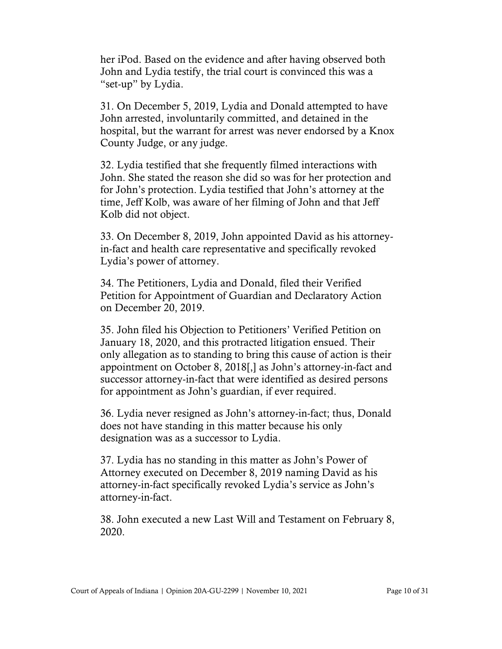her iPod. Based on the evidence and after having observed both John and Lydia testify, the trial court is convinced this was a "set-up" by Lydia.

31. On December 5, 2019, Lydia and Donald attempted to have John arrested, involuntarily committed, and detained in the hospital, but the warrant for arrest was never endorsed by a Knox County Judge, or any judge.

32. Lydia testified that she frequently filmed interactions with John. She stated the reason she did so was for her protection and for John's protection. Lydia testified that John's attorney at the time, Jeff Kolb, was aware of her filming of John and that Jeff Kolb did not object.

33. On December 8, 2019, John appointed David as his attorneyin-fact and health care representative and specifically revoked Lydia's power of attorney.

34. The Petitioners, Lydia and Donald, filed their Verified Petition for Appointment of Guardian and Declaratory Action on December 20, 2019.

35. John filed his Objection to Petitioners' Verified Petition on January 18, 2020, and this protracted litigation ensued. Their only allegation as to standing to bring this cause of action is their appointment on October 8, 2018[,] as John's attorney-in-fact and successor attorney-in-fact that were identified as desired persons for appointment as John's guardian, if ever required.

36. Lydia never resigned as John's attorney-in-fact; thus, Donald does not have standing in this matter because his only designation was as a successor to Lydia.

37. Lydia has no standing in this matter as John's Power of Attorney executed on December 8, 2019 naming David as his attorney-in-fact specifically revoked Lydia's service as John's attorney-in-fact.

38. John executed a new Last Will and Testament on February 8, 2020.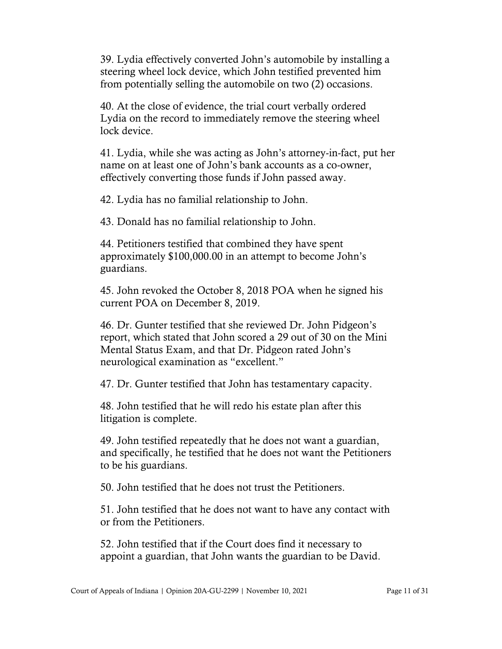39. Lydia effectively converted John's automobile by installing a steering wheel lock device, which John testified prevented him from potentially selling the automobile on two (2) occasions.

40. At the close of evidence, the trial court verbally ordered Lydia on the record to immediately remove the steering wheel lock device.

41. Lydia, while she was acting as John's attorney-in-fact, put her name on at least one of John's bank accounts as a co-owner, effectively converting those funds if John passed away.

42. Lydia has no familial relationship to John.

43. Donald has no familial relationship to John.

44. Petitioners testified that combined they have spent approximately \$100,000.00 in an attempt to become John's guardians.

45. John revoked the October 8, 2018 POA when he signed his current POA on December 8, 2019.

46. Dr. Gunter testified that she reviewed Dr. John Pidgeon's report, which stated that John scored a 29 out of 30 on the Mini Mental Status Exam, and that Dr. Pidgeon rated John's neurological examination as "excellent."

47. Dr. Gunter testified that John has testamentary capacity.

48. John testified that he will redo his estate plan after this litigation is complete.

49. John testified repeatedly that he does not want a guardian, and specifically, he testified that he does not want the Petitioners to be his guardians.

50. John testified that he does not trust the Petitioners.

51. John testified that he does not want to have any contact with or from the Petitioners.

52. John testified that if the Court does find it necessary to appoint a guardian, that John wants the guardian to be David.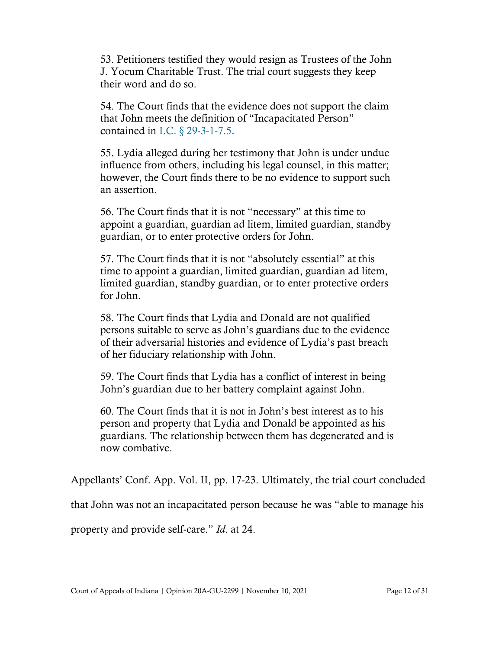53. Petitioners testified they would resign as Trustees of the John J. Yocum Charitable Trust. The trial court suggests they keep their word and do so.

54. The Court finds that the evidence does not support the claim that John meets the definition of "Incapacitated Person" contained in I.C. § [29-3-1-7.5.](https://www.westlaw.com/Document/NEFFE8FD0816111DB8132CD13D2280436/View/FullText.html?transitionType=Default&contextData=(sc.Default)&VR=3.0&RS=cblt1.0)

55. Lydia alleged during her testimony that John is under undue influence from others, including his legal counsel, in this matter; however, the Court finds there to be no evidence to support such an assertion.

56. The Court finds that it is not "necessary" at this time to appoint a guardian, guardian ad litem, limited guardian, standby guardian, or to enter protective orders for John.

57. The Court finds that it is not "absolutely essential" at this time to appoint a guardian, limited guardian, guardian ad litem, limited guardian, standby guardian, or to enter protective orders for John.

58. The Court finds that Lydia and Donald are not qualified persons suitable to serve as John's guardians due to the evidence of their adversarial histories and evidence of Lydia's past breach of her fiduciary relationship with John.

59. The Court finds that Lydia has a conflict of interest in being John's guardian due to her battery complaint against John.

60. The Court finds that it is not in John's best interest as to his person and property that Lydia and Donald be appointed as his guardians. The relationship between them has degenerated and is now combative.

Appellants' Conf. App. Vol. II, pp. 17-23. Ultimately, the trial court concluded

that John was not an incapacitated person because he was "able to manage his

property and provide self-care." *Id*. at 24.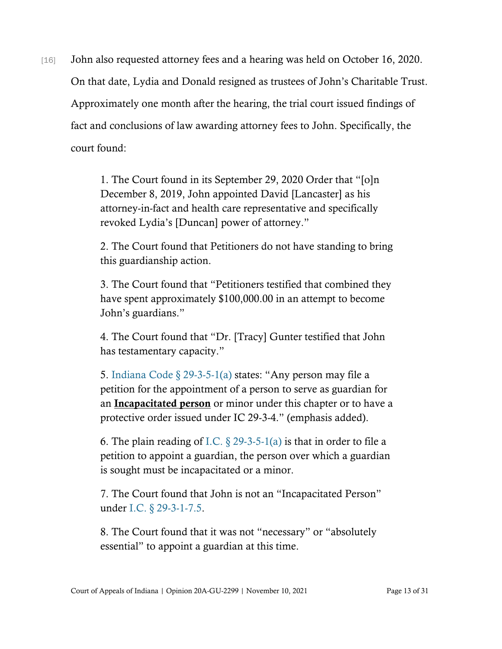[16] John also requested attorney fees and a hearing was held on October 16, 2020. On that date, Lydia and Donald resigned as trustees of John's Charitable Trust. Approximately one month after the hearing, the trial court issued findings of fact and conclusions of law awarding attorney fees to John. Specifically, the court found:

> 1. The Court found in its September 29, 2020 Order that "[o]n December 8, 2019, John appointed David [Lancaster] as his attorney-in-fact and health care representative and specifically revoked Lydia's [Duncan] power of attorney."

2. The Court found that Petitioners do not have standing to bring this guardianship action.

3. The Court found that "Petitioners testified that combined they have spent approximately \$100,000.00 in an attempt to become John's guardians."

4. The Court found that "Dr. [Tracy] Gunter testified that John has testamentary capacity."

5. [Indiana Code § 29-3-5-1\(a\)](https://www.westlaw.com/Document/N063C8DB0834311E9B539903DABF236BE/View/FullText.html?transitionType=Default&contextData=(sc.Default)&VR=3.0&RS=cblt1.0) states: "Any person may file a petition for the appointment of a person to serve as guardian for an Incapacitated person or minor under this chapter or to have a protective order issued under IC 29-3-4." (emphasis added).

6. The plain reading of I.C.  $\S$  29-3-5-1(a) is that in order to file a petition to appoint a guardian, the person over which a guardian is sought must be incapacitated or a minor.

7. The Court found that John is not an "Incapacitated Person" under [I.C. § 29-3-1-7.5.](https://www.westlaw.com/Document/NEFFE8FD0816111DB8132CD13D2280436/View/FullText.html?transitionType=Default&contextData=(sc.Default)&VR=3.0&RS=cblt1.0)

8. The Court found that it was not "necessary" or "absolutely essential" to appoint a guardian at this time.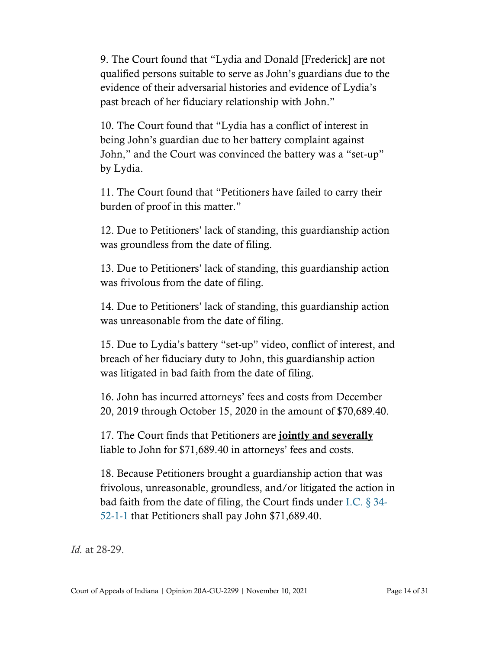9. The Court found that "Lydia and Donald [Frederick] are not qualified persons suitable to serve as John's guardians due to the evidence of their adversarial histories and evidence of Lydia's past breach of her fiduciary relationship with John."

10. The Court found that "Lydia has a conflict of interest in being John's guardian due to her battery complaint against John," and the Court was convinced the battery was a "set-up" by Lydia.

11. The Court found that "Petitioners have failed to carry their burden of proof in this matter."

12. Due to Petitioners' lack of standing, this guardianship action was groundless from the date of filing.

13. Due to Petitioners' lack of standing, this guardianship action was frivolous from the date of filing.

14. Due to Petitioners' lack of standing, this guardianship action was unreasonable from the date of filing.

15. Due to Lydia's battery "set-up" video, conflict of interest, and breach of her fiduciary duty to John, this guardianship action was litigated in bad faith from the date of filing.

16. John has incurred attorneys' fees and costs from December 20, 2019 through October 15, 2020 in the amount of \$70,689.40.

17. The Court finds that Petitioners are **jointly and severally** liable to John for \$71,689.40 in attorneys' fees and costs.

18. Because Petitioners brought a guardianship action that was frivolous, unreasonable, groundless, and/or litigated the action in bad faith from the date of filing, the Court finds under [I.C. § 34-](https://www.westlaw.com/Document/N73780500816F11DB8132CD13D2280436/View/FullText.html?transitionType=Default&contextData=(sc.Default)&VR=3.0&RS=cblt1.0) [52-1-1](https://www.westlaw.com/Document/N73780500816F11DB8132CD13D2280436/View/FullText.html?transitionType=Default&contextData=(sc.Default)&VR=3.0&RS=cblt1.0) that Petitioners shall pay John \$71,689.40.

*Id.* at 28-29.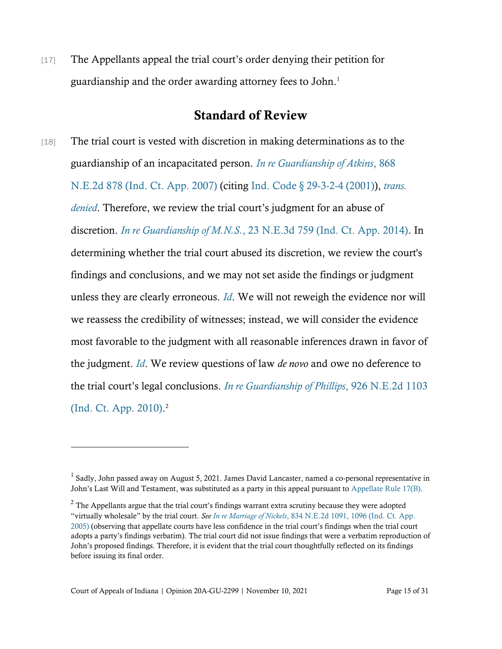[17] The Appellants appeal the trial court's order denying their petition for guardianship and the order awarding attorney fees to John.<sup>1</sup>

### Standard of Review

[18] The trial court is vested with discretion in making determinations as to the guardianship of an incapacitated person. *[In re Guardianship of Atkins](https://www.westlaw.com/Document/I782a620024e011dcaf8dafd7ee2b8b26/View/FullText.html?transitionType=Default&contextData=(sc.Default)&VR=3.0&RS=da3.0)*[, 868](https://www.westlaw.com/Document/I782a620024e011dcaf8dafd7ee2b8b26/View/FullText.html?transitionType=Default&contextData=(sc.Default)&VR=3.0&RS=da3.0)  [N.E.2d 878 \(Ind. Ct. App. 2007\)](https://www.westlaw.com/Document/I782a620024e011dcaf8dafd7ee2b8b26/View/FullText.html?transitionType=Default&contextData=(sc.Default)&VR=3.0&RS=da3.0) (citing [Ind. Code § 29-3-2-4 \(2001\)\)](https://www.westlaw.com/Document/NF6A2B230816111DB8132CD13D2280436/View/FullText.html?transitionType=Default&contextData=(sc.Default)&VR=3.0&RS=da3.0), *[trans.](https://www.westlaw.com/Document/I782a620024e011dcaf8dafd7ee2b8b26/View/FullText.html?transitionType=Default&contextData=(sc.Default)&VR=3.0&RS=cblt1.0)  [denied](https://www.westlaw.com/Document/I782a620024e011dcaf8dafd7ee2b8b26/View/FullText.html?transitionType=Default&contextData=(sc.Default)&VR=3.0&RS=cblt1.0)*. Therefore, we review the trial court's judgment for an abuse of discretion. *[In re Guardianship of M.N.S.](https://www.westlaw.com/Document/I8b174e4d876e11e4b86bd602cb8781fa/View/FullText.html?transitionType=Default&contextData=(sc.Default)&VR=3.0&RS=da3.0)*[, 23 N.E.3d 759 \(Ind. Ct. App. 2014\).](https://www.westlaw.com/Document/I8b174e4d876e11e4b86bd602cb8781fa/View/FullText.html?transitionType=Default&contextData=(sc.Default)&VR=3.0&RS=da3.0) In determining whether the trial court abused its discretion, we review the court's findings and conclusions, and we may not set aside the findings or judgment unless they are clearly erroneous. *[Id](https://www.westlaw.com/Document/I8b174e4d876e11e4b86bd602cb8781fa/View/FullText.html?transitionType=Default&contextData=(sc.Default)&VR=3.0&RS=cblt1.0)*. We will not reweigh the evidence nor will we reassess the credibility of witnesses; instead, we will consider the evidence most favorable to the judgment with all reasonable inferences drawn in favor of the judgment. *[Id](https://www.westlaw.com/Document/I8b174e4d876e11e4b86bd602cb8781fa/View/FullText.html?transitionType=Default&contextData=(sc.Default)&VR=3.0&RS=cblt1.0)*. We review questions of law *de novo* and owe no deference to the trial court's legal conclusions. *[In re Guardianship of Phillips](https://www.westlaw.com/Document/Ie00d6fbd61eb11dfa7ada84b8dc24cbf/View/FullText.html?transitionType=Default&contextData=(sc.Default)&VR=3.0&RS=da3.0)*[, 926 N.E.2d 1103](https://www.westlaw.com/Document/Ie00d6fbd61eb11dfa7ada84b8dc24cbf/View/FullText.html?transitionType=Default&contextData=(sc.Default)&VR=3.0&RS=da3.0)  [\(Ind. Ct. App. 2010\).](https://www.westlaw.com/Document/Ie00d6fbd61eb11dfa7ada84b8dc24cbf/View/FullText.html?transitionType=Default&contextData=(sc.Default)&VR=3.0&RS=da3.0) 2

<sup>&</sup>lt;sup>1</sup> Sadly, John passed away on August 5, 2021. James David Lancaster, named a co-personal representative in John's Last Will and Testament, was substituted as a party in this appeal pursuant t[o Appellate Rule 17\(B\).](https://www.westlaw.com/Document/N1577A530B86211DBAEA4B60E7E39EF94/View/FullText.html?transitionType=Default&contextData=(sc.Default)&VR=3.0&RS=cblt1.0)

 $2$  The Appellants argue that the trial court's findings warrant extra scrutiny because they were adopted "virtually wholesale" by the trial court. *See In re Marriage of Nickels*[, 834 N.E.2d 1091, 1096 \(Ind. Ct. App.](https://www.westlaw.com/Document/I542a01b431bd11dab072a248d584787d/View/FullText.html?transitionType=Default&contextData=(sc.Default)&VR=3.0&RS=da3.0&fragmentIdentifier=co_pp_sp_578_1096)  [2005\)](https://www.westlaw.com/Document/I542a01b431bd11dab072a248d584787d/View/FullText.html?transitionType=Default&contextData=(sc.Default)&VR=3.0&RS=da3.0&fragmentIdentifier=co_pp_sp_578_1096) (observing that appellate courts have less confidence in the trial court's findings when the trial court adopts a party's findings verbatim). The trial court did not issue findings that were a verbatim reproduction of John's proposed findings. Therefore, it is evident that the trial court thoughtfully reflected on its findings before issuing its final order.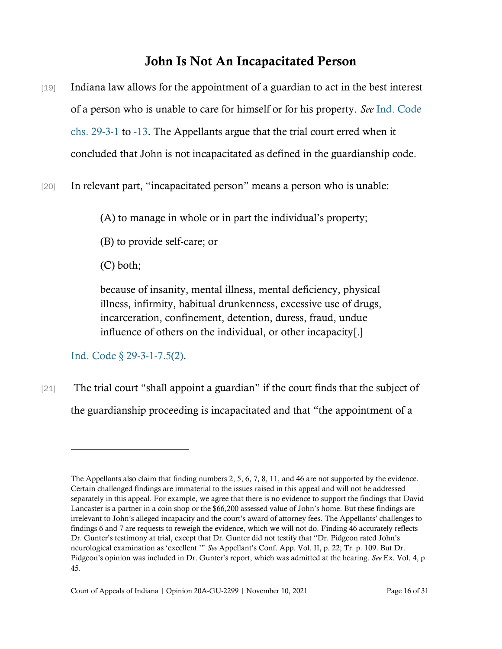# John Is Not An Incapacitated Person

- [19] Indiana law allows for the appointment of a guardian to act in the best interest of a person who is unable to care for himself or for his property. *See* [Ind. Code](https://www.westlaw.com/Document/NED531EE0816111DB8132CD13D2280436/View/FullText.html?transitionType=Default&contextData=(sc.Default)&VR=3.0&RS=cblt1.0)  [chs. 29-3-1](https://www.westlaw.com/Document/NED531EE0816111DB8132CD13D2280436/View/FullText.html?transitionType=Default&contextData=(sc.Default)&VR=3.0&RS=cblt1.0) to [-13.](https://www.westlaw.com/Document/NF22407E0816111DB8132CD13D2280436/View/FullText.html?transitionType=Default&contextData=(sc.Default)&VR=3.0&RS=cblt1.0) The Appellants argue that the trial court erred when it concluded that John is not incapacitated as defined in the guardianship code.
- [20] In relevant part, "incapacitated person" means a person who is unable:

(A) to manage in whole or in part the individual's property;

(B) to provide self-care; or

(C) both;

because of insanity, mental illness, mental deficiency, physical illness, infirmity, habitual drunkenness, excessive use of drugs, incarceration, confinement, detention, duress, fraud, undue influence of others on the individual, or other incapacity[.]

[Ind. Code § 29-3-1-7.5\(2\).](https://www.westlaw.com/Document/NEFFE8FD0816111DB8132CD13D2280436/View/FullText.html?transitionType=Default&contextData=(sc.Default)&VR=3.0&RS=da3.0)

[21] The trial court "shall appoint a guardian" if the court finds that the subject of the guardianship proceeding is incapacitated and that "the appointment of a

The Appellants also claim that finding numbers 2, 5, 6, 7, 8, 11, and 46 are not supported by the evidence. Certain challenged findings are immaterial to the issues raised in this appeal and will not be addressed separately in this appeal. For example, we agree that there is no evidence to support the findings that David Lancaster is a partner in a coin shop or the \$66,200 assessed value of John's home. But these findings are irrelevant to John's alleged incapacity and the court's award of attorney fees. The Appellants' challenges to findings 6 and 7 are requests to reweigh the evidence, which we will not do. Finding 46 accurately reflects Dr. Gunter's testimony at trial, except that Dr. Gunter did not testify that "Dr. Pidgeon rated John's neurological examination as 'excellent.'" *See* Appellant's Conf. App. Vol. II, p. 22; Tr. p. 109. But Dr. Pidgeon's opinion was included in Dr. Gunter's report, which was admitted at the hearing. *See* Ex. Vol. 4, p. 45.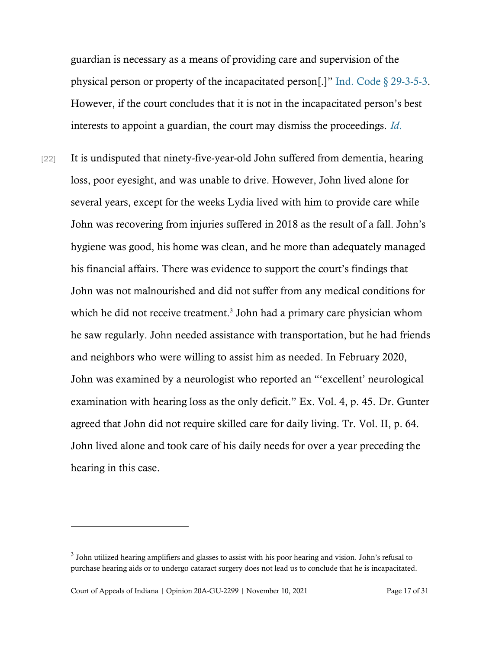guardian is necessary as a means of providing care and supervision of the physical person or property of the incapacitated person[.]" [Ind. Code § 29-3-5-3.](https://www.westlaw.com/Document/NFFA0F130816111DB8132CD13D2280436/View/FullText.html?transitionType=Default&contextData=(sc.Default)&VR=3.0&RS=da3.0) However, if the court concludes that it is not in the incapacitated person's best interests to appoint a guardian, the court may dismiss the proceedings. *[Id](https://www.westlaw.com/Document/NFFA0F130816111DB8132CD13D2280436/View/FullText.html?transitionType=Default&contextData=(sc.Default)&VR=3.0&RS=da3.0)*[.](https://www.westlaw.com/Document/NFFA0F130816111DB8132CD13D2280436/View/FullText.html?transitionType=Default&contextData=(sc.Default)&VR=3.0&RS=da3.0)

[22] It is undisputed that ninety-five-year-old John suffered from dementia, hearing loss, poor eyesight, and was unable to drive. However, John lived alone for several years, except for the weeks Lydia lived with him to provide care while John was recovering from injuries suffered in 2018 as the result of a fall. John's hygiene was good, his home was clean, and he more than adequately managed his financial affairs. There was evidence to support the court's findings that John was not malnourished and did not suffer from any medical conditions for which he did not receive treatment.<sup>3</sup> John had a primary care physician whom he saw regularly. John needed assistance with transportation, but he had friends and neighbors who were willing to assist him as needed. In February 2020, John was examined by a neurologist who reported an "'excellent' neurological examination with hearing loss as the only deficit." Ex. Vol. 4, p. 45. Dr. Gunter agreed that John did not require skilled care for daily living. Tr. Vol. II, p. 64. John lived alone and took care of his daily needs for over a year preceding the hearing in this case.

 $3$  John utilized hearing amplifiers and glasses to assist with his poor hearing and vision. John's refusal to purchase hearing aids or to undergo cataract surgery does not lead us to conclude that he is incapacitated.

Court of Appeals of Indiana | Opinion 20A-GU-2299 | November 10, 2021 Page 17 of 31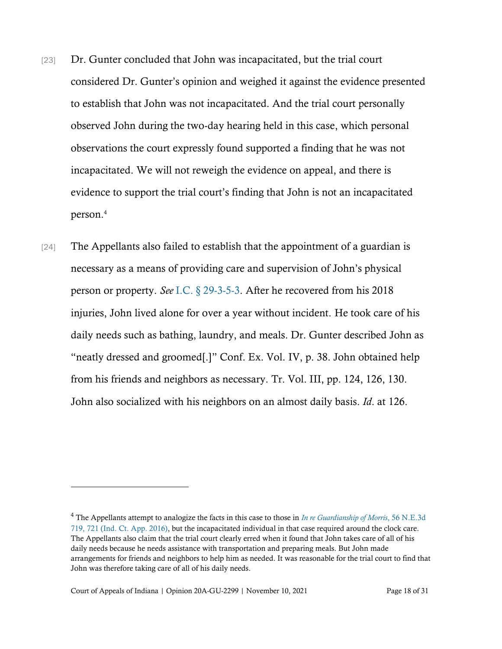- [23] Dr. Gunter concluded that John was incapacitated, but the trial court considered Dr. Gunter's opinion and weighed it against the evidence presented to establish that John was not incapacitated. And the trial court personally observed John during the two-day hearing held in this case, which personal observations the court expressly found supported a finding that he was not incapacitated. We will not reweigh the evidence on appeal, and there is evidence to support the trial court's finding that John is not an incapacitated person.<sup>4</sup>
- [24] The Appellants also failed to establish that the appointment of a guardian is necessary as a means of providing care and supervision of John's physical person or property. *See* [I.C. § 29-3-5-3.](https://www.westlaw.com/Document/NFFA0F130816111DB8132CD13D2280436/View/FullText.html?transitionType=Default&contextData=(sc.Default)&VR=3.0&RS=cblt1.0) After he recovered from his 2018 injuries, John lived alone for over a year without incident. He took care of his daily needs such as bathing, laundry, and meals. Dr. Gunter described John as "neatly dressed and groomed[.]" Conf. Ex. Vol. IV, p. 38. John obtained help from his friends and neighbors as necessary. Tr. Vol. III, pp. 124, 126, 130. John also socialized with his neighbors on an almost daily basis. *Id*. at 126.

<sup>4</sup> The Appellants attempt to analogize the facts in this case to those in *[In re Guardianship of Morris](https://www.westlaw.com/Document/I6ce27a58489f11e6a795ac035416da91/View/FullText.html?transitionType=Default&contextData=(sc.Default)&VR=3.0&RS=da3.0&fragmentIdentifier=co_pp_sp_7902_721)*[, 56 N.E.3d](https://www.westlaw.com/Document/I6ce27a58489f11e6a795ac035416da91/View/FullText.html?transitionType=Default&contextData=(sc.Default)&VR=3.0&RS=da3.0&fragmentIdentifier=co_pp_sp_7902_721)  [719, 721 \(Ind. Ct. App. 2016\),](https://www.westlaw.com/Document/I6ce27a58489f11e6a795ac035416da91/View/FullText.html?transitionType=Default&contextData=(sc.Default)&VR=3.0&RS=da3.0&fragmentIdentifier=co_pp_sp_7902_721) but the incapacitated individual in that case required around the clock care. The Appellants also claim that the trial court clearly erred when it found that John takes care of all of his daily needs because he needs assistance with transportation and preparing meals. But John made arrangements for friends and neighbors to help him as needed. It was reasonable for the trial court to find that John was therefore taking care of all of his daily needs.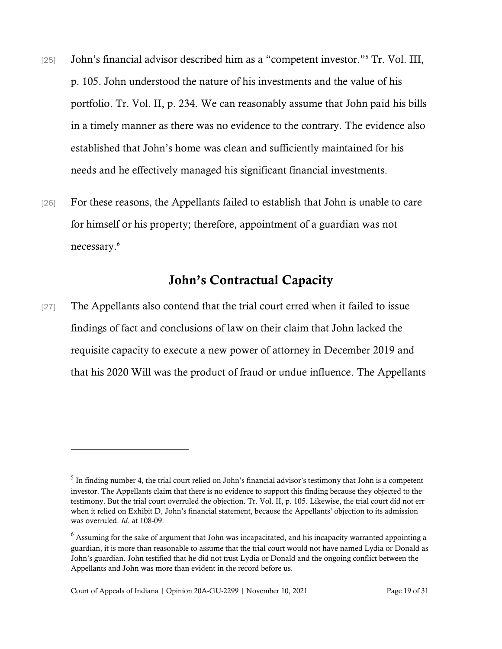- [25] John's financial advisor described him as a "competent investor."<sup>5</sup> Tr. Vol. III, p. 105. John understood the nature of his investments and the value of his portfolio. Tr. Vol. II, p. 234. We can reasonably assume that John paid his bills in a timely manner as there was no evidence to the contrary. The evidence also established that John's home was clean and sufficiently maintained for his needs and he effectively managed his significant financial investments.
- [26] For these reasons, the Appellants failed to establish that John is unable to care for himself or his property; therefore, appointment of a guardian was not necessary. 6

## John's Contractual Capacity

[27] The Appellants also contend that the trial court erred when it failed to issue findings of fact and conclusions of law on their claim that John lacked the requisite capacity to execute a new power of attorney in December 2019 and that his 2020 Will was the product of fraud or undue influence. The Appellants

 $<sup>5</sup>$  In finding number 4, the trial court relied on John's financial advisor's testimony that John is a competent</sup> investor. The Appellants claim that there is no evidence to support this finding because they objected to the testimony. But the trial court overruled the objection. Tr. Vol. II, p. 105. Likewise, the trial court did not err when it relied on Exhibit D, John's financial statement, because the Appellants' objection to its admission was overruled. *Id*. at 108-09.

 $6$  Assuming for the sake of argument that John was incapacitated, and his incapacity warranted appointing a guardian, it is more than reasonable to assume that the trial court would not have named Lydia or Donald as John's guardian. John testified that he did not trust Lydia or Donald and the ongoing conflict between the Appellants and John was more than evident in the record before us.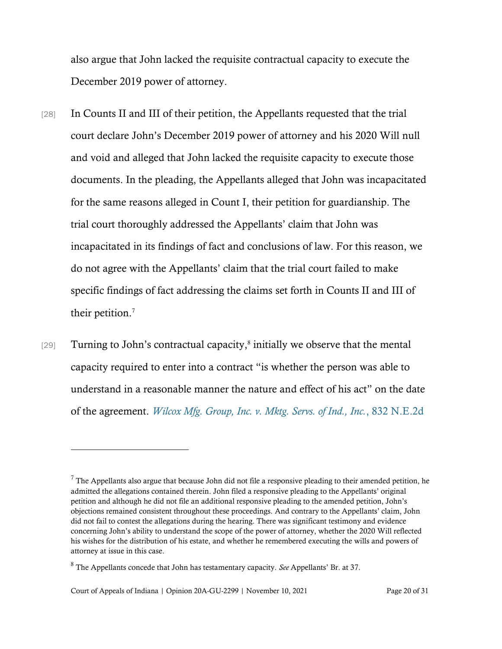also argue that John lacked the requisite contractual capacity to execute the December 2019 power of attorney.

- [28] In Counts II and III of their petition, the Appellants requested that the trial court declare John's December 2019 power of attorney and his 2020 Will null and void and alleged that John lacked the requisite capacity to execute those documents. In the pleading, the Appellants alleged that John was incapacitated for the same reasons alleged in Count I, their petition for guardianship. The trial court thoroughly addressed the Appellants' claim that John was incapacitated in its findings of fact and conclusions of law. For this reason, we do not agree with the Appellants' claim that the trial court failed to make specific findings of fact addressing the claims set forth in Counts II and III of their petition.<sup>7</sup>
- [29] Turning to John's contractual capacity,<sup>8</sup> initially we observe that the mental capacity required to enter into a contract "is whether the person was able to understand in a reasonable manner the nature and effect of his act" on the date of the agreement. *[Wilcox Mfg. Group, Inc. v. Mktg. Servs. of Ind., Inc.](https://www.westlaw.com/Document/Iaf61b388098f11dab91fc9d567cb48f0/View/FullText.html?transitionType=Default&contextData=(sc.Default)&VR=3.0&RS=da3.0&fragmentIdentifier=co_pp_sp_578_562%2c+563)*, 8[32 N.E.2d](https://www.westlaw.com/Document/Iaf61b388098f11dab91fc9d567cb48f0/View/FullText.html?transitionType=Default&contextData=(sc.Default)&VR=3.0&RS=da3.0&fragmentIdentifier=co_pp_sp_578_562%2c+563)

 $7$  The Appellants also argue that because John did not file a responsive pleading to their amended petition, he admitted the allegations contained therein. John filed a responsive pleading to the Appellants' original petition and although he did not file an additional responsive pleading to the amended petition, John's objections remained consistent throughout these proceedings. And contrary to the Appellants' claim, John did not fail to contest the allegations during the hearing. There was significant testimony and evidence concerning John's ability to understand the scope of the power of attorney, whether the 2020 Will reflected his wishes for the distribution of his estate, and whether he remembered executing the wills and powers of attorney at issue in this case.

<sup>8</sup> The Appellants concede that John has testamentary capacity. *See* Appellants' Br. at 37.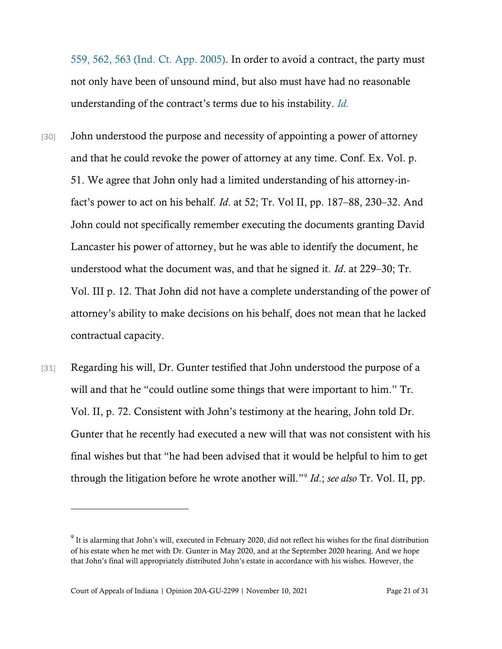[559, 562, 563 \(Ind. Ct. App. 2005\).](https://www.westlaw.com/Document/Iaf61b388098f11dab91fc9d567cb48f0/View/FullText.html?transitionType=Default&contextData=(sc.Default)&VR=3.0&RS=da3.0&fragmentIdentifier=co_pp_sp_578_562%2c+563) In order to avoid a contract, the party must not only have been of unsound mind, but also must have had no reasonable understanding of the contract's terms due to his instability. *[Id.](https://www.westlaw.com/Document/Iaf61b388098f11dab91fc9d567cb48f0/View/FullText.html?transitionType=Default&contextData=(sc.Default)&VR=3.0&RS=da3.0)*

- [30] John understood the purpose and necessity of appointing a power of attorney and that he could revoke the power of attorney at any time. Conf. Ex. Vol. p. 51. We agree that John only had a limited understanding of his attorney-infact's power to act on his behalf. *Id*. at 52; Tr. Vol II, pp. 187–88, 230–32. And John could not specifically remember executing the documents granting David Lancaster his power of attorney, but he was able to identify the document, he understood what the document was, and that he signed it. *Id*. at 229–30; Tr. Vol. III p. 12. That John did not have a complete understanding of the power of attorney's ability to make decisions on his behalf, does not mean that he lacked contractual capacity.
- [31] Regarding his will, Dr. Gunter testified that John understood the purpose of a will and that he "could outline some things that were important to him." Tr. Vol. II, p. 72. Consistent with John's testimony at the hearing, John told Dr. Gunter that he recently had executed a new will that was not consistent with his final wishes but that "he had been advised that it would be helpful to him to get through the litigation before he wrote another will."<sup>9</sup> *Id*.; *see also* Tr. Vol. II, pp.

 $9$  It is alarming that John's will, executed in February 2020, did not reflect his wishes for the final distribution of his estate when he met with Dr. Gunter in May 2020, and at the September 2020 hearing. And we hope that John's final will appropriately distributed John's estate in accordance with his wishes. However, the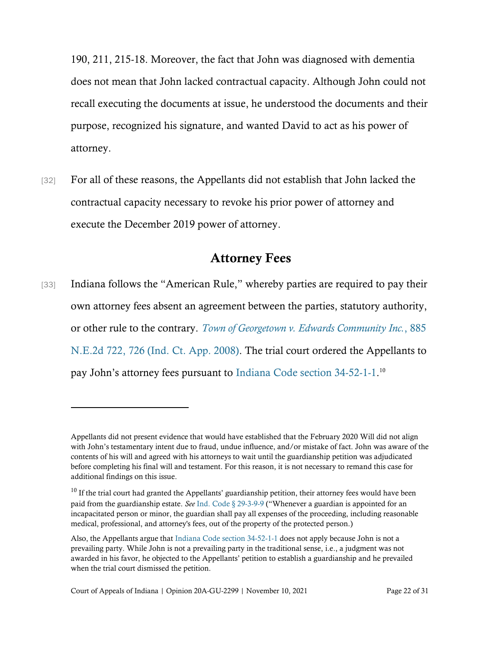190, 211, 215-18. Moreover, the fact that John was diagnosed with dementia does not mean that John lacked contractual capacity. Although John could not recall executing the documents at issue, he understood the documents and their purpose, recognized his signature, and wanted David to act as his power of attorney.

[32] For all of these reasons, the Appellants did not establish that John lacked the contractual capacity necessary to revoke his prior power of attorney and execute the December 2019 power of attorney.

## Attorney Fees

[33] Indiana follows the "American Rule," whereby parties are required to pay their own attorney fees absent an agreement between the parties, statutory authority, or other rule to the contrary. *[Town of Georgetown v. Edwards Community Inc.](https://www.westlaw.com/Document/Icba1713c1d0511ddb7e483ba170699a5/View/FullText.html?transitionType=Default&contextData=(sc.Default)&VR=3.0&RS=da3.0&fragmentIdentifier=co_pp_sp_578_726)*[, 885](https://www.westlaw.com/Document/Icba1713c1d0511ddb7e483ba170699a5/View/FullText.html?transitionType=Default&contextData=(sc.Default)&VR=3.0&RS=da3.0&fragmentIdentifier=co_pp_sp_578_726)  [N.E.2d 722, 726 \(Ind. Ct. App. 2008\).](https://www.westlaw.com/Document/Icba1713c1d0511ddb7e483ba170699a5/View/FullText.html?transitionType=Default&contextData=(sc.Default)&VR=3.0&RS=da3.0&fragmentIdentifier=co_pp_sp_578_726) The trial court ordered the Appellants to pay John's attorney fees pursuant to [Indiana Code section 34-52-1-1.](https://www.westlaw.com/Document/N73780500816F11DB8132CD13D2280436/View/FullText.html?transitionType=Default&contextData=(sc.Default)&VR=3.0&RS=da3.0)<sup>10</sup>

Appellants did not present evidence that would have established that the February 2020 Will did not align with John's testamentary intent due to fraud, undue influence, and/or mistake of fact. John was aware of the contents of his will and agreed with his attorneys to wait until the guardianship petition was adjudicated before completing his final will and testament. For this reason, it is not necessary to remand this case for additional findings on this issue.

 $^{10}$  If the trial court had granted the Appellants' guardianship petition, their attorney fees would have been paid from the guardianship estate. *See* [Ind. Code § 29-3-9-9](https://www.westlaw.com/Document/N25570680816211DB8132CD13D2280436/View/FullText.html?transitionType=Default&contextData=(sc.Default)&VR=3.0&RS=da3.0) ("Whenever a guardian is appointed for an incapacitated person or minor, the guardian shall pay all expenses of the proceeding, including reasonable medical, professional, and attorney's fees, out of the property of the protected person.)

Also, the Appellants argue tha[t Indiana Code section 34-52-1-1](https://www.westlaw.com/Document/N73780500816F11DB8132CD13D2280436/View/FullText.html?transitionType=Default&contextData=(sc.Default)&VR=3.0&RS=da3.0) does not apply because John is not a prevailing party. While John is not a prevailing party in the traditional sense, i.e., a judgment was not awarded in his favor, he objected to the Appellants' petition to establish a guardianship and he prevailed when the trial court dismissed the petition.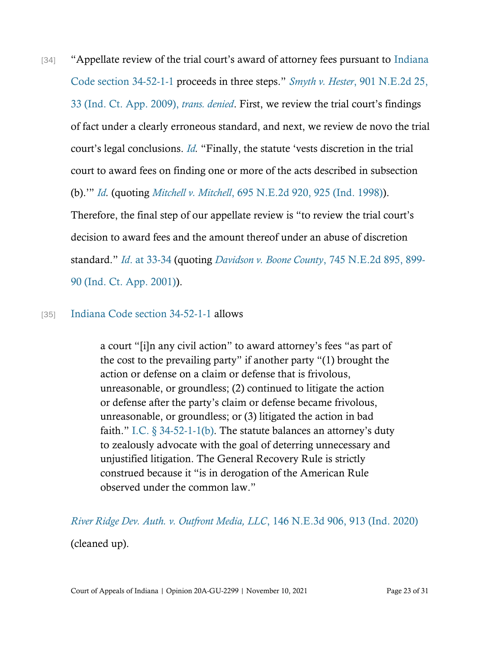[34] "Appellate review of the trial court's award of attorney fees pursuant to Indiana [Code section 34-52-1-1](https://www.westlaw.com/Document/N73780500816F11DB8132CD13D2280436/View/FullText.html?transitionType=Default&contextData=(sc.Default)&VR=3.0&RS=da3.0) proceeds in three steps." *Smyth v. Hester*[, 901 N.E.2d 25,](https://www.westlaw.com/Document/I118e60cefcfa11ddbc7bf97f340af743/View/FullText.html?transitionType=Default&contextData=(sc.Default)&VR=3.0&RS=cblt1.0)  [33 \(Ind. Ct. App. 2009\),](https://www.westlaw.com/Document/I118e60cefcfa11ddbc7bf97f340af743/View/FullText.html?transitionType=Default&contextData=(sc.Default)&VR=3.0&RS=cblt1.0) *trans. denied*. First, we review the trial court's findings of fact under a clearly erroneous standard, and next, we review de novo the trial court's legal conclusions. *[Id.](https://www.westlaw.com/Document/I118e60cefcfa11ddbc7bf97f340af743/View/FullText.html?transitionType=Default&contextData=(sc.Default)&VR=3.0&RS=cblt1.0)* "Finally, the statute 'vests discretion in the trial court to award fees on finding one or more of the acts described in subsection (b).'" *[Id.](https://www.westlaw.com/Document/I118e60cefcfa11ddbc7bf97f340af743/View/FullText.html?transitionType=Default&contextData=(sc.Default)&VR=3.0&RS=cblt1.0)* (quoting *[Mitchell v.](https://www.westlaw.com/Document/Ic04edf04d3c611d98ac8f235252e36df/View/FullText.html?transitionType=Default&contextData=(sc.Default)&VR=3.0&RS=da3.0&fragmentIdentifier=co_pp_sp_578_925) Mitchell*[, 695 N.E.2d 920, 925 \(Ind. 1998\)\)](https://www.westlaw.com/Document/Ic04edf04d3c611d98ac8f235252e36df/View/FullText.html?transitionType=Default&contextData=(sc.Default)&VR=3.0&RS=da3.0&fragmentIdentifier=co_pp_sp_578_925). Therefore, the final step of our appellate review is "to review the trial court's decision to award fees and the amount thereof under an abuse of discretion standard." *Id*[. at 33-34](https://www.westlaw.com/Document/I118e60cefcfa11ddbc7bf97f340af743/View/FullText.html?transitionType=Default&contextData=(sc.Default)&VR=3.0&RS=da3.0&fragmentIdentifier=co_pp_sp_578_33) (quoting *[Davidson v. Boone County](https://www.westlaw.com/Document/I62b59f62d39811d99439b076ef9ec4de/View/FullText.html?transitionType=Default&contextData=(sc.Default)&VR=3.0&RS=da3.0&fragmentIdentifier=co_pp_sp_578_899)*, 745 N.E.2d 895, 89[9-](https://www.westlaw.com/Document/I62b59f62d39811d99439b076ef9ec4de/View/FullText.html?transitionType=Default&contextData=(sc.Default)&VR=3.0&RS=da3.0&fragmentIdentifier=co_pp_sp_578_899)

[90 \(Ind. Ct. App. 2001\)\)](https://www.westlaw.com/Document/I62b59f62d39811d99439b076ef9ec4de/View/FullText.html?transitionType=Default&contextData=(sc.Default)&VR=3.0&RS=da3.0&fragmentIdentifier=co_pp_sp_578_899).

#### [35] [Indiana Code section 34-52-1-1](https://www.westlaw.com/Document/N73780500816F11DB8132CD13D2280436/View/FullText.html?transitionType=Default&contextData=(sc.Default)&VR=3.0&RS=da3.0) allows

a court "[i]n any civil action" to award attorney's fees "as part of the cost to the prevailing party" if another party "(1) brought the action or defense on a claim or defense that is frivolous, unreasonable, or groundless; (2) continued to litigate the action or defense after the party's claim or defense became frivolous, unreasonable, or groundless; or (3) litigated the action in bad faith." I.C.  $\S 34-52-1-1(b)$ . The statute balances an attorney's duty to zealously advocate with the goal of deterring unnecessary and unjustified litigation. The General Recovery Rule is strictly construed because it "is in derogation of the American Rule observed under the common law."

*[River Ridge Dev. Auth. v. Outfront Media, LLC](https://www.westlaw.com/Document/I11378ff0a20d11eabb6d82c9ad959d07/View/FullText.html?transitionType=Default&contextData=(sc.Default)&VR=3.0&RS=da3.0&fragmentIdentifier=co_pp_sp_7902_913)*[, 146 N.E.3d 906, 913 \(Ind. 2020\)](https://www.westlaw.com/Document/I11378ff0a20d11eabb6d82c9ad959d07/View/FullText.html?transitionType=Default&contextData=(sc.Default)&VR=3.0&RS=da3.0&fragmentIdentifier=co_pp_sp_7902_913) (cleaned up).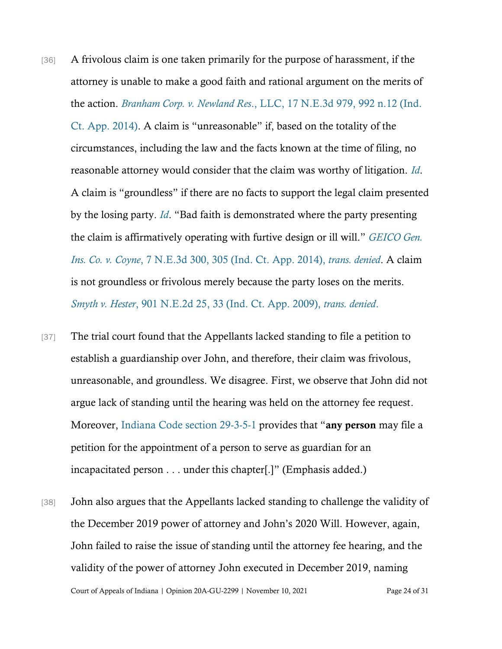- [36] A frivolous claim is one taken primarily for the purpose of harassment, if the attorney is unable to make a good faith and rational argument on the merits of the action. *Branham Corp. v. Newland Res*[., LLC, 17 N.E.3d 979, 992 n.12 \(Ind.](https://www.westlaw.com/Document/I85596cfe43d611e490d4edf60ce7d742/View/FullText.html?transitionType=Default&contextData=(sc.Default)&VR=3.0&RS=da3.0&fragmentIdentifier=co_pp_sp_7902_992+n.12)  [Ct. App. 2014\)](https://www.westlaw.com/Document/I85596cfe43d611e490d4edf60ce7d742/View/FullText.html?transitionType=Default&contextData=(sc.Default)&VR=3.0&RS=da3.0&fragmentIdentifier=co_pp_sp_7902_992+n.12). A claim is "unreasonable" if, based on the totality of the circumstances, including the law and the facts known at the time of filing, no reasonable attorney would consider that the claim was worthy of litigation. *[Id](https://www.westlaw.com/Document/I85596cfe43d611e490d4edf60ce7d742/View/FullText.html?transitionType=Default&contextData=(sc.Default)&VR=3.0&RS=cblt1.0)*. A claim is "groundless" if there are no facts to support the legal claim presented by the losing party. *[Id](https://www.westlaw.com/Document/I85596cfe43d611e490d4edf60ce7d742/View/FullText.html?transitionType=Default&contextData=(sc.Default)&VR=3.0&RS=cblt1.0)*. "Bad faith is demonstrated where the party presenting the claim is affirmatively operating with furtive design or ill will." *[GEICO Gen.](https://www.westlaw.com/Document/Ica0369a9c70211e390d4edf60ce7d742/View/FullText.html?transitionType=Default&contextData=(sc.Default)&VR=3.0&RS=cblt1.0)  Ins. Co. v. Coyne*[, 7 N.E.3d 300, 305 \(Ind. Ct. App. 2014\),](https://www.westlaw.com/Document/Ica0369a9c70211e390d4edf60ce7d742/View/FullText.html?transitionType=Default&contextData=(sc.Default)&VR=3.0&RS=cblt1.0) *trans. denied*. A claim is not groundless or frivolous merely because the party loses on the merits. *Smyth v. Hester*[, 901 N.E.2d 25, 33 \(Ind. Ct. App. 2009\),](https://www.westlaw.com/Document/I118e60cefcfa11ddbc7bf97f340af743/View/FullText.html?transitionType=Default&contextData=(sc.Default)&VR=3.0&RS=da3.0&fragmentIdentifier=co_pp_sp_578_33) *trans. denied*[.](https://www.westlaw.com/Document/I118e60cefcfa11ddbc7bf97f340af743/View/FullText.html?transitionType=Default&contextData=(sc.Default)&VR=3.0&RS=da3.0&fragmentIdentifier=co_pp_sp_578_33)
- [37] The trial court found that the Appellants lacked standing to file a petition to establish a guardianship over John, and therefore, their claim was frivolous, unreasonable, and groundless. We disagree. First, we observe that John did not argue lack of standing until the hearing was held on the attorney fee request. Moreover, [Indiana Code section 29-3-5-1](https://www.westlaw.com/Document/N063C8DB0834311E9B539903DABF236BE/View/FullText.html?transitionType=Default&contextData=(sc.Default)&VR=3.0&RS=da3.0) provides that "any person may file a petition for the appointment of a person to serve as guardian for an incapacitated person . . . under this chapter[.]" (Emphasis added.)
- Court of Appeals of Indiana | Opinion 20A-GU-2299 | November 10, 2021 Page 24 of 31 [38] John also argues that the Appellants lacked standing to challenge the validity of the December 2019 power of attorney and John's 2020 Will. However, again, John failed to raise the issue of standing until the attorney fee hearing, and the validity of the power of attorney John executed in December 2019, naming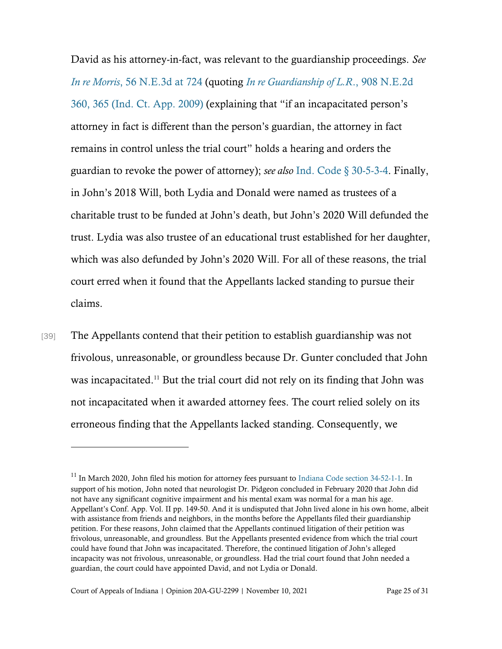David as his attorney-in-fact, was relevant to the guardianship proceedings. *See [In re Morris](https://www.westlaw.com/Document/I6ce27a58489f11e6a795ac035416da91/View/FullText.html?transitionType=Default&contextData=(sc.Default)&VR=3.0&RS=da3.0&fragmentIdentifier=co_pp_sp_7902_724)*[, 56 N.E.3d at 724](https://www.westlaw.com/Document/I6ce27a58489f11e6a795ac035416da91/View/FullText.html?transitionType=Default&contextData=(sc.Default)&VR=3.0&RS=da3.0&fragmentIdentifier=co_pp_sp_7902_724) (quoting *[In re Guardianship of L.R](https://www.westlaw.com/Document/I9f5c32b1625711deb08de1b7506ad85b/View/FullText.html?transitionType=Default&contextData=(sc.Default)&VR=3.0&RS=da3.0&fragmentIdentifier=co_pp_sp_578_365)*[., 908 N.E.2d](https://www.westlaw.com/Document/I9f5c32b1625711deb08de1b7506ad85b/View/FullText.html?transitionType=Default&contextData=(sc.Default)&VR=3.0&RS=da3.0&fragmentIdentifier=co_pp_sp_578_365)  [360, 365 \(Ind. Ct. App. 2009\)](https://www.westlaw.com/Document/I9f5c32b1625711deb08de1b7506ad85b/View/FullText.html?transitionType=Default&contextData=(sc.Default)&VR=3.0&RS=da3.0&fragmentIdentifier=co_pp_sp_578_365) (explaining that "if an incapacitated person's attorney in fact is different than the person's guardian, the attorney in fact remains in control unless the trial court" holds a hearing and orders the guardian to revoke the power of attorney); *see also* [Ind. Code § 30-5-3-4.](https://www.westlaw.com/Document/N46D3FB60557D11E7983AEAA12C9A2F99/View/FullText.html?transitionType=Default&contextData=(sc.Default)&VR=3.0&RS=da3.0) Finally, in John's 2018 Will, both Lydia and Donald were named as trustees of a charitable trust to be funded at John's death, but John's 2020 Will defunded the trust. Lydia was also trustee of an educational trust established for her daughter, which was also defunded by John's 2020 Will. For all of these reasons, the trial court erred when it found that the Appellants lacked standing to pursue their claims.

[39] The Appellants contend that their petition to establish guardianship was not frivolous, unreasonable, or groundless because Dr. Gunter concluded that John was incapacitated.<sup>11</sup> But the trial court did not rely on its finding that John was not incapacitated when it awarded attorney fees. The court relied solely on its erroneous finding that the Appellants lacked standing. Consequently, we

<sup>&</sup>lt;sup>11</sup> In March 2020, John filed his motion for attorney fees pursuant to [Indiana Code section 34-52-1-1.](https://www.westlaw.com/Document/N73780500816F11DB8132CD13D2280436/View/FullText.html?transitionType=Default&contextData=(sc.Default)&VR=3.0&RS=da3.0) In support of his motion, John noted that neurologist Dr. Pidgeon concluded in February 2020 that John did not have any significant cognitive impairment and his mental exam was normal for a man his age. Appellant's Conf. App. Vol. II pp. 149-50. And it is undisputed that John lived alone in his own home, albeit with assistance from friends and neighbors, in the months before the Appellants filed their guardianship petition. For these reasons, John claimed that the Appellants continued litigation of their petition was frivolous, unreasonable, and groundless. But the Appellants presented evidence from which the trial court could have found that John was incapacitated. Therefore, the continued litigation of John's alleged incapacity was not frivolous, unreasonable, or groundless. Had the trial court found that John needed a guardian, the court could have appointed David, and not Lydia or Donald.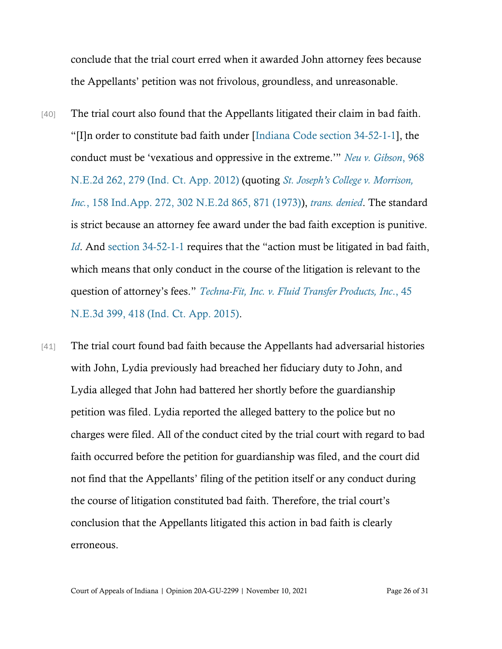conclude that the trial court erred when it awarded John attorney fees because the Appellants' petition was not frivolous, groundless, and unreasonable.

- [40] The trial court also found that the Appellants litigated their claim in bad faith. "[I]n order to constitute bad faith under [[Indiana Code section 34-52-1-1\]](https://www.westlaw.com/Document/N73780500816F11DB8132CD13D2280436/View/FullText.html?transitionType=Default&contextData=(sc.Default)&VR=3.0&RS=da3.0), the conduct must be 'vexatious and oppressive in the extreme.'" *[Neu v. Gibson](https://www.westlaw.com/Document/Ia4688a5a9add11e188c4dc91a76115b7/View/FullText.html?transitionType=Default&contextData=(sc.Default)&VR=3.0&RS=da3.0&fragmentIdentifier=co_pp_sp_578_279)*[, 968](https://www.westlaw.com/Document/Ia4688a5a9add11e188c4dc91a76115b7/View/FullText.html?transitionType=Default&contextData=(sc.Default)&VR=3.0&RS=da3.0&fragmentIdentifier=co_pp_sp_578_279)  [N.E.2d 262, 279 \(Ind.](https://www.westlaw.com/Document/Ia4688a5a9add11e188c4dc91a76115b7/View/FullText.html?transitionType=Default&contextData=(sc.Default)&VR=3.0&RS=da3.0&fragmentIdentifier=co_pp_sp_578_279) Ct. App. 2012) (quoting *St. Joseph's C[ollege v. Morrison,](https://www.westlaw.com/Document/I7c2dcf70d94811d98ac8f235252e36df/View/FullText.html?transitionType=Default&contextData=(sc.Default)&VR=3.0&RS=da3.0&fragmentIdentifier=co_pp_sp_578_871)  [Inc.](https://www.westlaw.com/Document/I7c2dcf70d94811d98ac8f235252e36df/View/FullText.html?transitionType=Default&contextData=(sc.Default)&VR=3.0&RS=da3.0&fragmentIdentifier=co_pp_sp_578_871)*[, 158 Ind.App. 272, 302 N.E.2d 865, 871 \(1973\)\)](https://www.westlaw.com/Document/I7c2dcf70d94811d98ac8f235252e36df/View/FullText.html?transitionType=Default&contextData=(sc.Default)&VR=3.0&RS=da3.0&fragmentIdentifier=co_pp_sp_578_871), *[trans. denied](https://www.westlaw.com/Document/Ia4688a5a9add11e188c4dc91a76115b7/View/FullText.html?transitionType=Default&contextData=(sc.Default)&VR=3.0&RS=cblt1.0)*. The standard is strict because an attorney fee award under the bad faith exception is punitive. *[Id](https://www.westlaw.com/Document/Ia4688a5a9add11e188c4dc91a76115b7/View/FullText.html?transitionType=Default&contextData=(sc.Default)&VR=3.0&RS=cblt1.0)*. And [section 34-52-1-1](https://www.westlaw.com/Document/N73780500816F11DB8132CD13D2280436/View/FullText.html?transitionType=Default&contextData=(sc.Default)&VR=3.0&RS=da3.0) requires that the "action must be litigated in bad faith, which means that only conduct in the course of the litigation is relevant to the question of attorney's fees." *[Techna-Fit, Inc. v. Fluid Transfer Products, Inc](https://www.westlaw.com/Document/If50d20be72c511e5a807ad48145ed9f1/View/FullText.html?transitionType=Default&contextData=(sc.Default)&VR=3.0&RS=da3.0&fragmentIdentifier=co_pp_sp_7902_418)*[., 45](https://www.westlaw.com/Document/If50d20be72c511e5a807ad48145ed9f1/View/FullText.html?transitionType=Default&contextData=(sc.Default)&VR=3.0&RS=da3.0&fragmentIdentifier=co_pp_sp_7902_418)  [N.E.3d 399, 418 \(Ind. Ct. App. 2015\).](https://www.westlaw.com/Document/If50d20be72c511e5a807ad48145ed9f1/View/FullText.html?transitionType=Default&contextData=(sc.Default)&VR=3.0&RS=da3.0&fragmentIdentifier=co_pp_sp_7902_418)
- [41] The trial court found bad faith because the Appellants had adversarial histories with John, Lydia previously had breached her fiduciary duty to John, and Lydia alleged that John had battered her shortly before the guardianship petition was filed. Lydia reported the alleged battery to the police but no charges were filed. All of the conduct cited by the trial court with regard to bad faith occurred before the petition for guardianship was filed, and the court did not find that the Appellants' filing of the petition itself or any conduct during the course of litigation constituted bad faith. Therefore, the trial court's conclusion that the Appellants litigated this action in bad faith is clearly erroneous.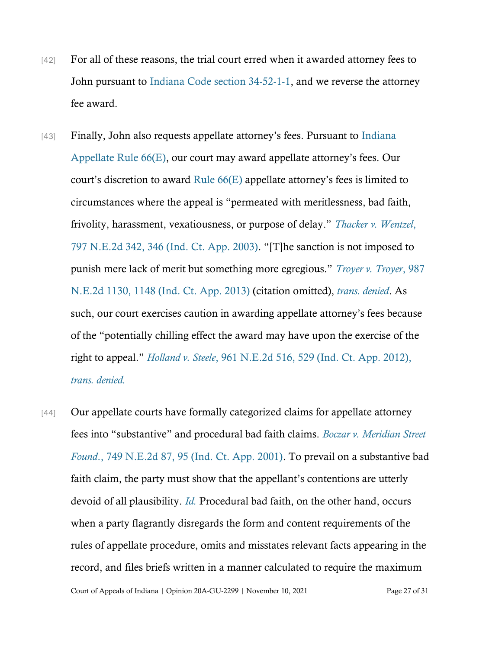- [42] For all of these reasons, the trial court erred when it awarded attorney fees to John pursuant to [Indiana Code section 34-52-1-1,](https://www.westlaw.com/Document/N73780500816F11DB8132CD13D2280436/View/FullText.html?transitionType=Default&contextData=(sc.Default)&VR=3.0&RS=da3.0) and we reverse the attorney fee award.
- [43] Finally, John also requests appellate attorney's fees. Pursuant to [Indiana](https://www.westlaw.com/Document/N129FFA80AACF11DE97CFC30D94C59A9E/View/FullText.html?transitionType=Default&contextData=(sc.Default)&VR=3.0&RS=da3.0)  [Appellate Rule 66\(E\)](https://www.westlaw.com/Document/N129FFA80AACF11DE97CFC30D94C59A9E/View/FullText.html?transitionType=Default&contextData=(sc.Default)&VR=3.0&RS=da3.0), our court may award appellate attorney's fees. Our court's discretion to award [Rule 66\(E\)](https://www.westlaw.com/Document/N129FFA80AACF11DE97CFC30D94C59A9E/View/FullText.html?transitionType=Default&contextData=(sc.Default)&VR=3.0&RS=da3.0) appellate attorney's fees is limited to circumstances where the appeal is "permeated with meritlessness, bad faith, frivolity, harassment, vexatiousness, or purpose of delay." *[Thacker v. Wentzel](https://www.westlaw.com/Document/If730697ed44411d983e7e9deff98dc6f/View/FullText.html?transitionType=Default&contextData=(sc.Default)&VR=3.0&RS=da3.0&fragmentIdentifier=co_pp_sp_578_346)*[,](https://www.westlaw.com/Document/If730697ed44411d983e7e9deff98dc6f/View/FullText.html?transitionType=Default&contextData=(sc.Default)&VR=3.0&RS=da3.0&fragmentIdentifier=co_pp_sp_578_346)  [797 N.E.2d 342, 346 \(Ind. Ct. App. 2003\)](https://www.westlaw.com/Document/If730697ed44411d983e7e9deff98dc6f/View/FullText.html?transitionType=Default&contextData=(sc.Default)&VR=3.0&RS=da3.0&fragmentIdentifier=co_pp_sp_578_346). "[T]he sanction is not imposed to punish mere lack of merit but something more egregious." *[Troyer v. Troyer](https://www.westlaw.com/Document/I992d077eb2c611e2a98ec867961a22de/View/FullText.html?transitionType=Default&contextData=(sc.Default)&VR=3.0&RS=da3.0&fragmentIdentifier=co_pp_sp_578_1148)*[, 987](https://www.westlaw.com/Document/I992d077eb2c611e2a98ec867961a22de/View/FullText.html?transitionType=Default&contextData=(sc.Default)&VR=3.0&RS=da3.0&fragmentIdentifier=co_pp_sp_578_1148)  [N.E.2d 1130, 1148 \(Ind. Ct. App. 2013\)](https://www.westlaw.com/Document/I992d077eb2c611e2a98ec867961a22de/View/FullText.html?transitionType=Default&contextData=(sc.Default)&VR=3.0&RS=da3.0&fragmentIdentifier=co_pp_sp_578_1148) (citation omitted), *[trans. denied](https://www.westlaw.com/Document/I992d077eb2c611e2a98ec867961a22de/View/FullText.html?transitionType=Default&contextData=(sc.Default)&VR=3.0&RS=cblt1.0)*. As such, our court exercises caution in awarding appellate attorney's fees because of the "potentially chilling effect the award may have upon the exercise of the right to appeal." *Holland v. Steele*[, 961 N.E.2d 516, 529 \(Ind. Ct. App. 2012\),](https://www.westlaw.com/Document/I66fb23bb4abb11e1bdb9e162c1ad40c0/View/FullText.html?transitionType=Default&contextData=(sc.Default)&VR=3.0&RS=da3.0&fragmentIdentifier=co_pp_sp_578_529)  *[trans. denied.](https://www.westlaw.com/Document/I66fb23bb4abb11e1bdb9e162c1ad40c0/View/FullText.html?transitionType=Default&contextData=(sc.Default)&VR=3.0&RS=da3.0&fragmentIdentifier=co_pp_sp_578_529)*
- [44] Our appellate courts have formally categorized claims for appellate attorney fees into "substantive" and procedural bad faith claims. *[Boczar v. Meridian Street](https://www.westlaw.com/Document/I86564cc2d39911d98ac8f235252e36df/View/FullText.html?transitionType=Default&contextData=(sc.Default)&VR=3.0&RS=da3.0&fragmentIdentifier=co_pp_sp_578_95)  [Found](https://www.westlaw.com/Document/I86564cc2d39911d98ac8f235252e36df/View/FullText.html?transitionType=Default&contextData=(sc.Default)&VR=3.0&RS=da3.0&fragmentIdentifier=co_pp_sp_578_95)*[., 749 N.E.2d 87, 95 \(Ind. Ct. App. 2001\).](https://www.westlaw.com/Document/I86564cc2d39911d98ac8f235252e36df/View/FullText.html?transitionType=Default&contextData=(sc.Default)&VR=3.0&RS=da3.0&fragmentIdentifier=co_pp_sp_578_95) To prevail on a substantive bad faith claim, the party must show that the appellant's contentions are utterly devoid of all plausibility. *[Id.](https://www.westlaw.com/Document/I86564cc2d39911d98ac8f235252e36df/View/FullText.html?transitionType=Default&contextData=(sc.Default)&VR=3.0&RS=da3.0)* Procedural bad faith, on the other hand, occurs when a party flagrantly disregards the form and content requirements of the rules of appellate procedure, omits and misstates relevant facts appearing in the record, and files briefs written in a manner calculated to require the maximum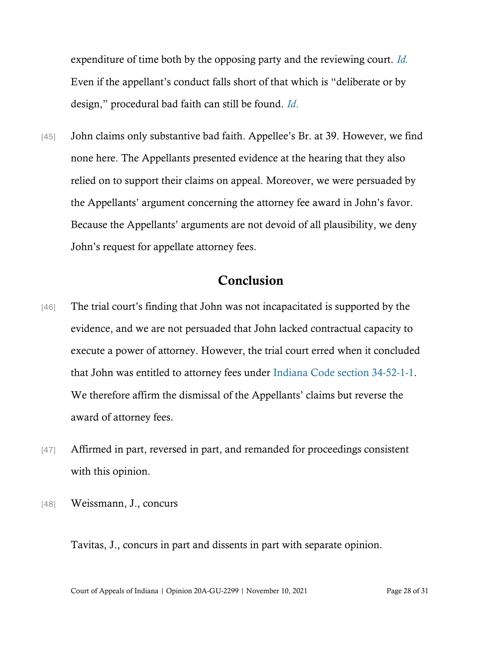expenditure of time both by the opposing party and the reviewing court. *[Id.](https://www.westlaw.com/Document/I86564cc2d39911d98ac8f235252e36df/View/FullText.html?transitionType=Default&contextData=(sc.Default)&VR=3.0&RS=da3.0)* Even if the appellant's conduct falls short of that which is "deliberate or by design," procedural bad faith can still be found. *[Id](https://www.westlaw.com/Document/I86564cc2d39911d98ac8f235252e36df/View/FullText.html?transitionType=Default&contextData=(sc.Default)&VR=3.0&RS=da3.0)*[.](https://www.westlaw.com/Document/I86564cc2d39911d98ac8f235252e36df/View/FullText.html?transitionType=Default&contextData=(sc.Default)&VR=3.0&RS=da3.0)

[45] John claims only substantive bad faith. Appellee's Br. at 39. However, we find none here. The Appellants presented evidence at the hearing that they also relied on to support their claims on appeal. Moreover, we were persuaded by the Appellants' argument concerning the attorney fee award in John's favor. Because the Appellants' arguments are not devoid of all plausibility, we deny John's request for appellate attorney fees.

### Conclusion

- [46] The trial court's finding that John was not incapacitated is supported by the evidence, and we are not persuaded that John lacked contractual capacity to execute a power of attorney. However, the trial court erred when it concluded that John was entitled to attorney fees under [Indiana Code section 34-52-1-1.](https://www.westlaw.com/Document/N73780500816F11DB8132CD13D2280436/View/FullText.html?transitionType=Default&contextData=(sc.Default)&VR=3.0&RS=da3.0) We therefore affirm the dismissal of the Appellants' claims but reverse the award of attorney fees.
- [47] Affirmed in part, reversed in part, and remanded for proceedings consistent with this opinion.
- [48] Weissmann, J., concurs

Tavitas, J., concurs in part and dissents in part with separate opinion.

Court of Appeals of Indiana | Opinion 20A-GU-2299 | November 10, 2021 Page 28 of 31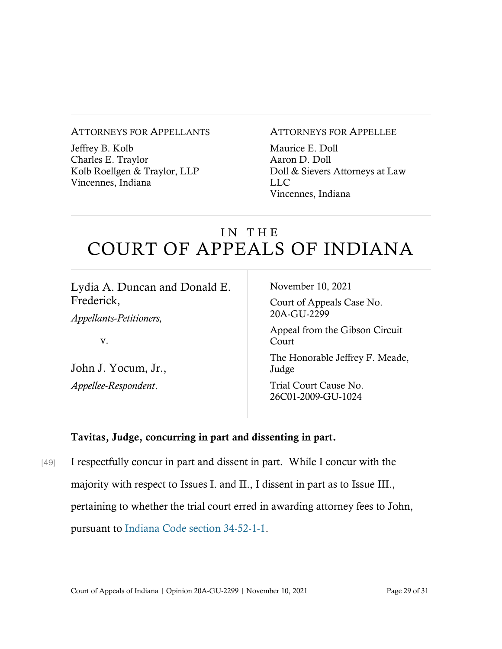#### ATTORNEYS FOR APPELLANTS

Jeffrey B. Kolb Charles E. Traylor Kolb Roellgen & Traylor, LLP Vincennes, Indiana

#### ATTORNEYS FOR APPELLEE

Maurice E. Doll Aaron D. Doll Doll & Sievers Attorneys at Law LLC Vincennes, Indiana

# IN THE COURT OF APPEALS OF INDIANA

Lydia A. Duncan and Donald E. Frederick, *Appellants-Petitioners,* v. John J. Yocum, Jr., *Appellee-Respondent*. November 10, 2021 Court of Appeals Case No. 20A-GU-2299 Appeal from the Gibson Circuit Court The Honorable Jeffrey F. Meade, Judge Trial Court Cause No. 26C01-2009-GU-1024

### Tavitas, Judge, concurring in part and dissenting in part.

[49] I respectfully concur in part and dissent in part. While I concur with the majority with respect to Issues I. and II., I dissent in part as to Issue III., pertaining to whether the trial court erred in awarding attorney fees to John, pursuant to [Indiana Code section 34-52-1-1.](https://www.westlaw.com/Document/N73780500816F11DB8132CD13D2280436/View/FullText.html?transitionType=Default&contextData=(sc.Default)&VR=3.0&RS=da3.0)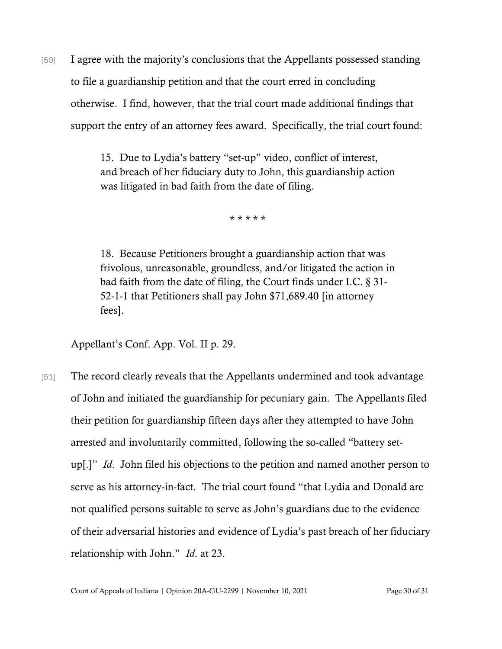[50] I agree with the majority's conclusions that the Appellants possessed standing to file a guardianship petition and that the court erred in concluding otherwise. I find, however, that the trial court made additional findings that support the entry of an attorney fees award. Specifically, the trial court found:

> 15. Due to Lydia's battery "set-up" video, conflict of interest, and breach of her fiduciary duty to John, this guardianship action was litigated in bad faith from the date of filing.

> > \* \* \* \* \*

18. Because Petitioners brought a guardianship action that was frivolous, unreasonable, groundless, and/or litigated the action in bad faith from the date of filing, the Court finds under I.C. § 31- 52-1-1 that Petitioners shall pay John \$71,689.40 [in attorney fees].

Appellant's Conf. App. Vol. II p. 29.

[51] The record clearly reveals that the Appellants undermined and took advantage of John and initiated the guardianship for pecuniary gain. The Appellants filed their petition for guardianship fifteen days after they attempted to have John arrested and involuntarily committed, following the so-called "battery setup[.]" *Id*. John filed his objections to the petition and named another person to serve as his attorney-in-fact. The trial court found "that Lydia and Donald are not qualified persons suitable to serve as John's guardians due to the evidence of their adversarial histories and evidence of Lydia's past breach of her fiduciary relationship with John." *Id*. at 23.